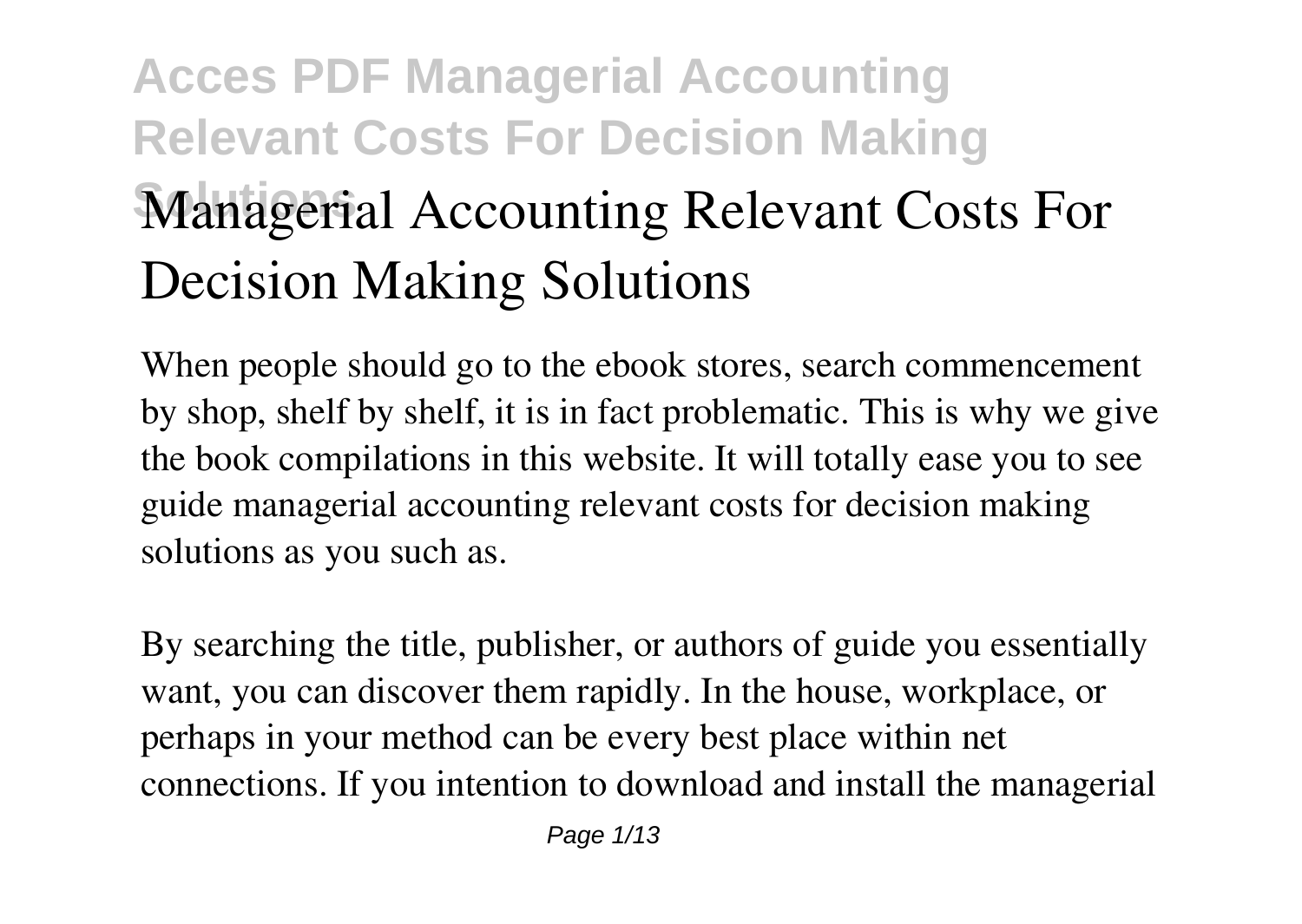# **Acces PDF Managerial Accounting Relevant Costs For Decision Making Managerial Accounting Relevant Costs For Decision Making Solutions**

When people should go to the ebook stores, search commencement by shop, shelf by shelf, it is in fact problematic. This is why we give the book compilations in this website. It will totally ease you to see guide **managerial accounting relevant costs for decision making solutions** as you such as.

By searching the title, publisher, or authors of guide you essentially want, you can discover them rapidly. In the house, workplace, or perhaps in your method can be every best place within net connections. If you intention to download and install the managerial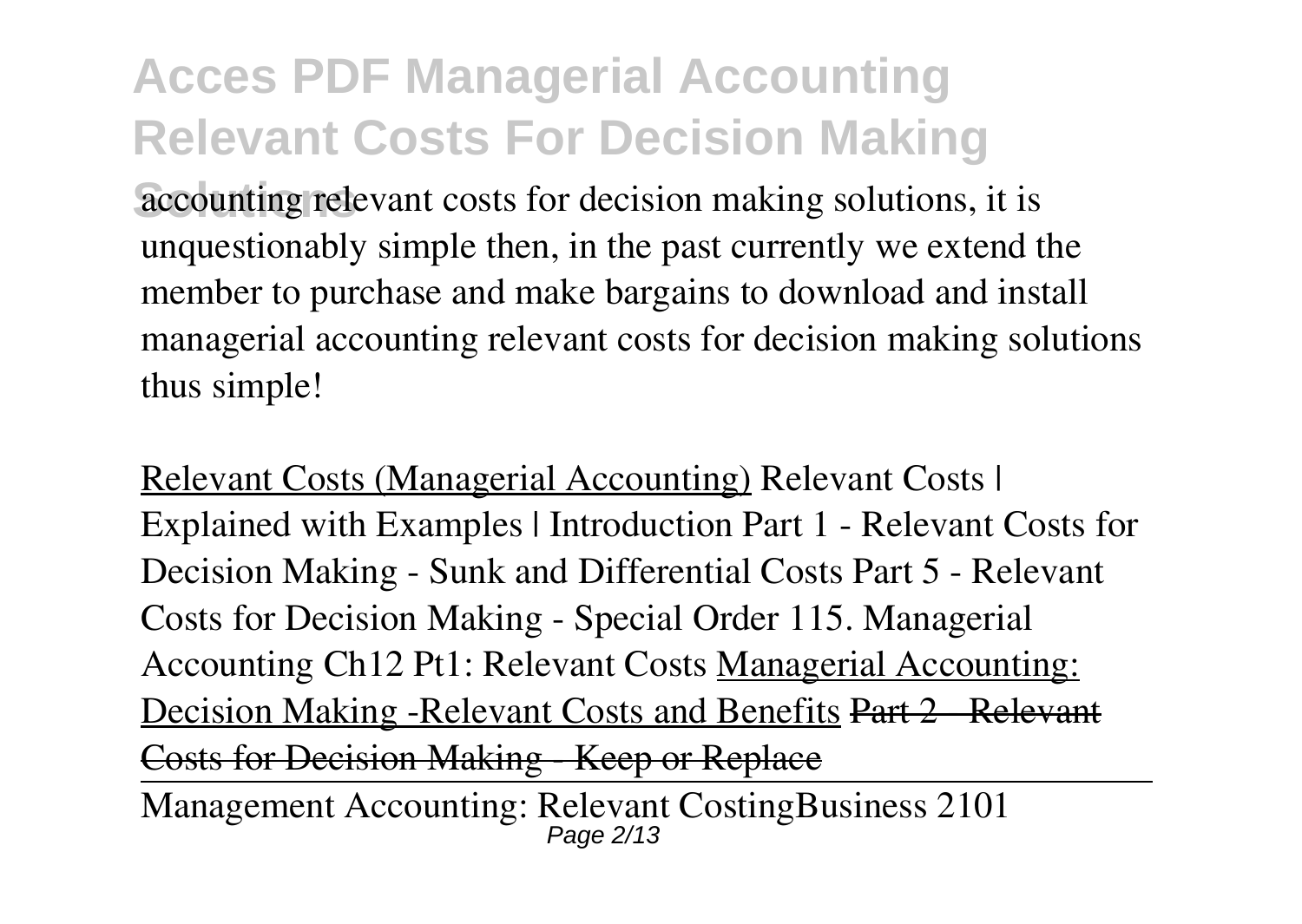accounting relevant costs for decision making solutions, it is unquestionably simple then, in the past currently we extend the member to purchase and make bargains to download and install managerial accounting relevant costs for decision making solutions thus simple!

Relevant Costs (Managerial Accounting) *Relevant Costs | Explained with Examples | Introduction Part 1 - Relevant Costs for Decision Making - Sunk and Differential Costs Part 5 - Relevant Costs for Decision Making - Special Order 115. Managerial Accounting Ch12 Pt1: Relevant Costs* Managerial Accounting: Decision Making -Relevant Costs and Benefits Part 2 - Relevant Costs for Decision Making Keep or Replace

Management Accounting: Relevant Costing**Business 2101** Page 2/13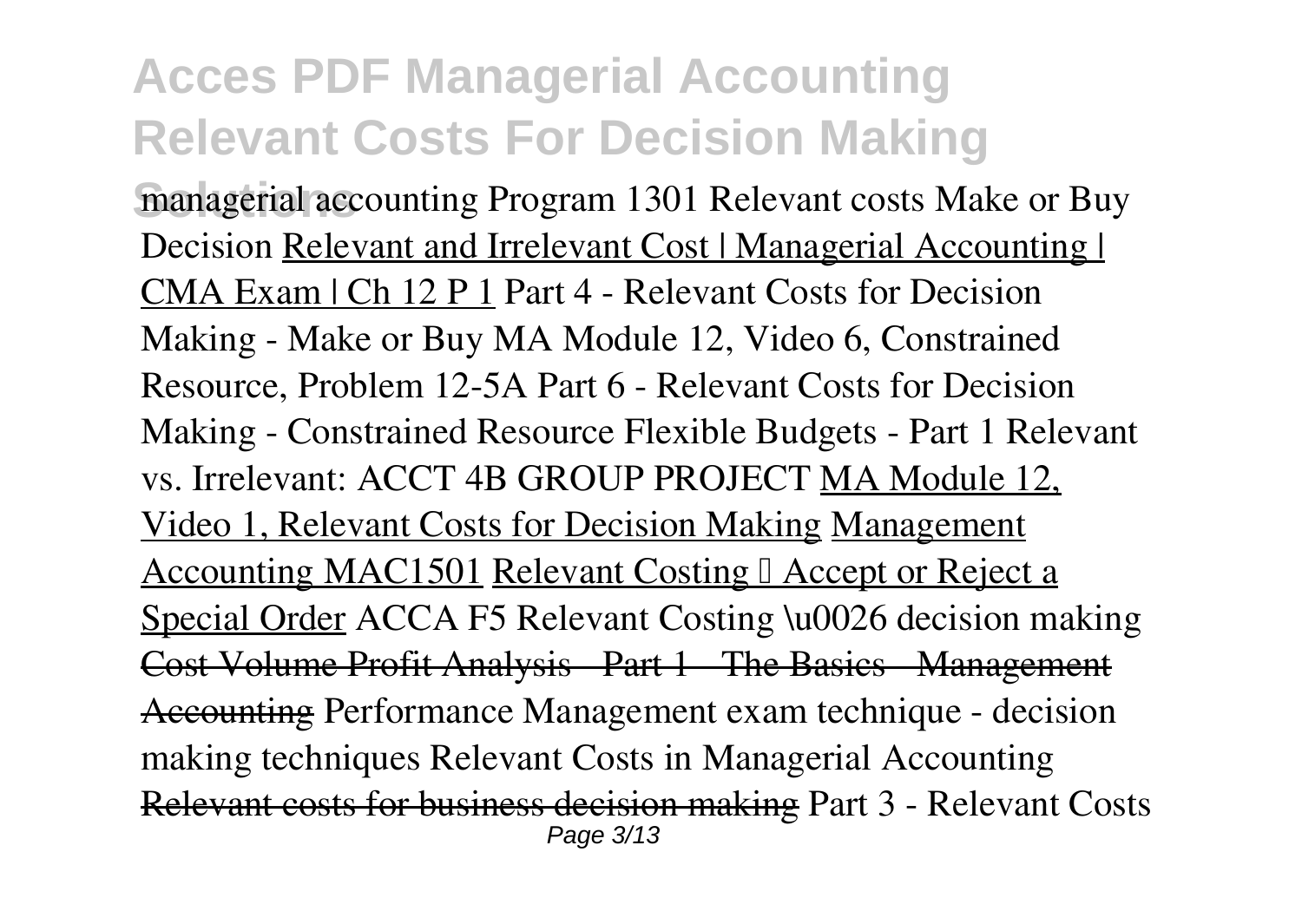**managerial accounting Program 1301 Relevant costs Make or Buy** *Decision* Relevant and Irrelevant Cost | Managerial Accounting | CMA Exam | Ch 12 P 1 **Part 4 - Relevant Costs for Decision Making - Make or Buy** MA Module 12, Video 6, Constrained Resource, Problem 12-5A *Part 6 - Relevant Costs for Decision Making - Constrained Resource Flexible Budgets - Part 1 Relevant vs. Irrelevant: ACCT 4B GROUP PROJECT* MA Module 12, Video 1, Relevant Costs for Decision Making Management Accounting MAC1501 Relevant Costing | Accept or Reject a Special Order **ACCA F5 Relevant Costing \u0026 decision making** Cost Volume Profit Analysis - Part 1 - The Basics - Management Accounting *Performance Management exam technique - decision making techniques* Relevant Costs in Managerial Accounting Relevant costs for business decision making *Part 3 - Relevant Costs* Page 3/13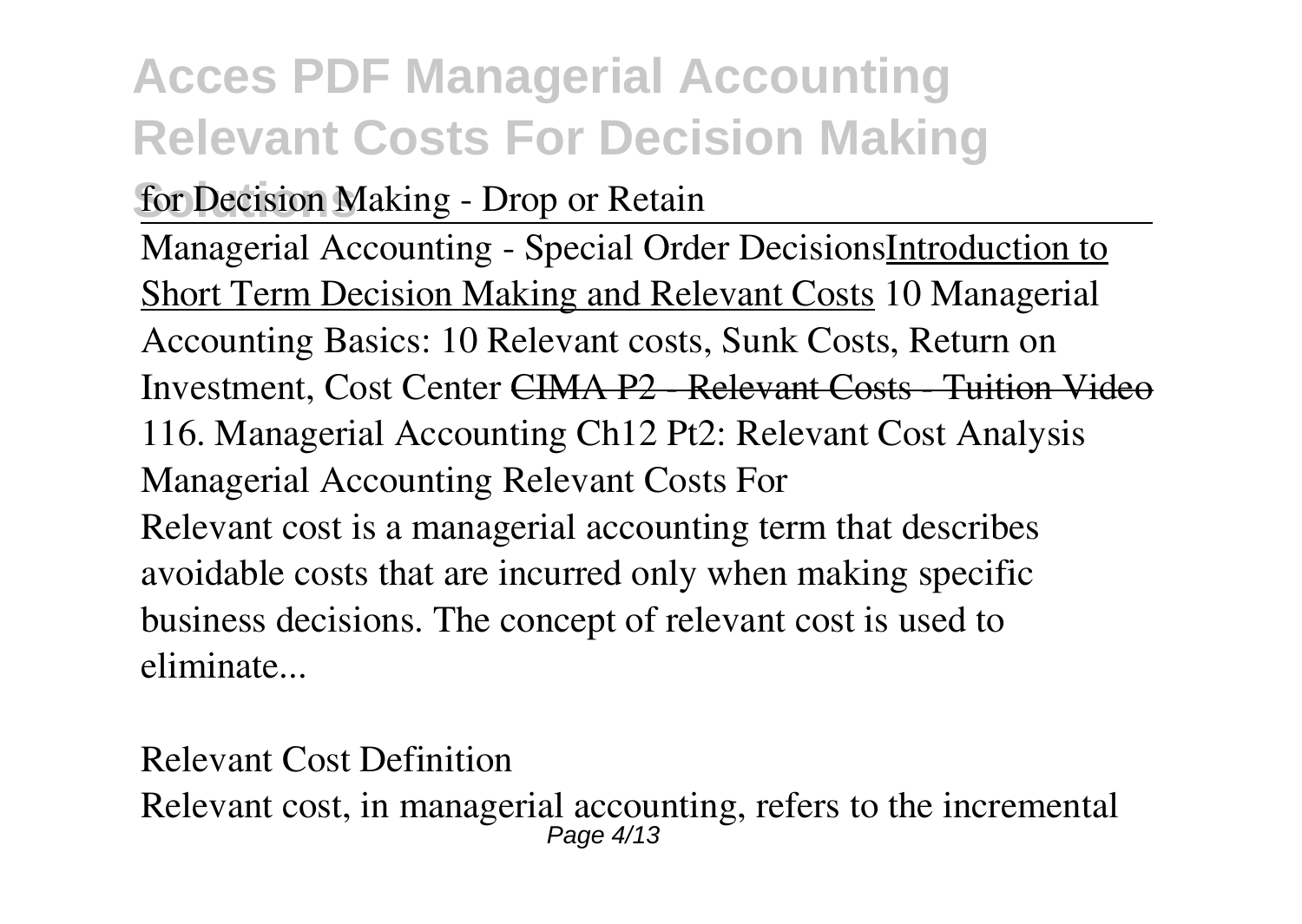**for Decision Making - Drop or Retain** 

Managerial Accounting - Special Order DecisionsIntroduction to Short Term Decision Making and Relevant Costs *10 Managerial Accounting Basics: 10 Relevant costs, Sunk Costs, Return on Investment, Cost Center* CIMA P2 - Relevant Costs - Tuition Video *116. Managerial Accounting Ch12 Pt2: Relevant Cost Analysis* **Managerial Accounting Relevant Costs For** Relevant cost is a managerial accounting term that describes avoidable costs that are incurred only when making specific business decisions. The concept of relevant cost is used to eliminate...

**Relevant Cost Definition** Relevant cost, in managerial accounting, refers to the incremental Page 4/13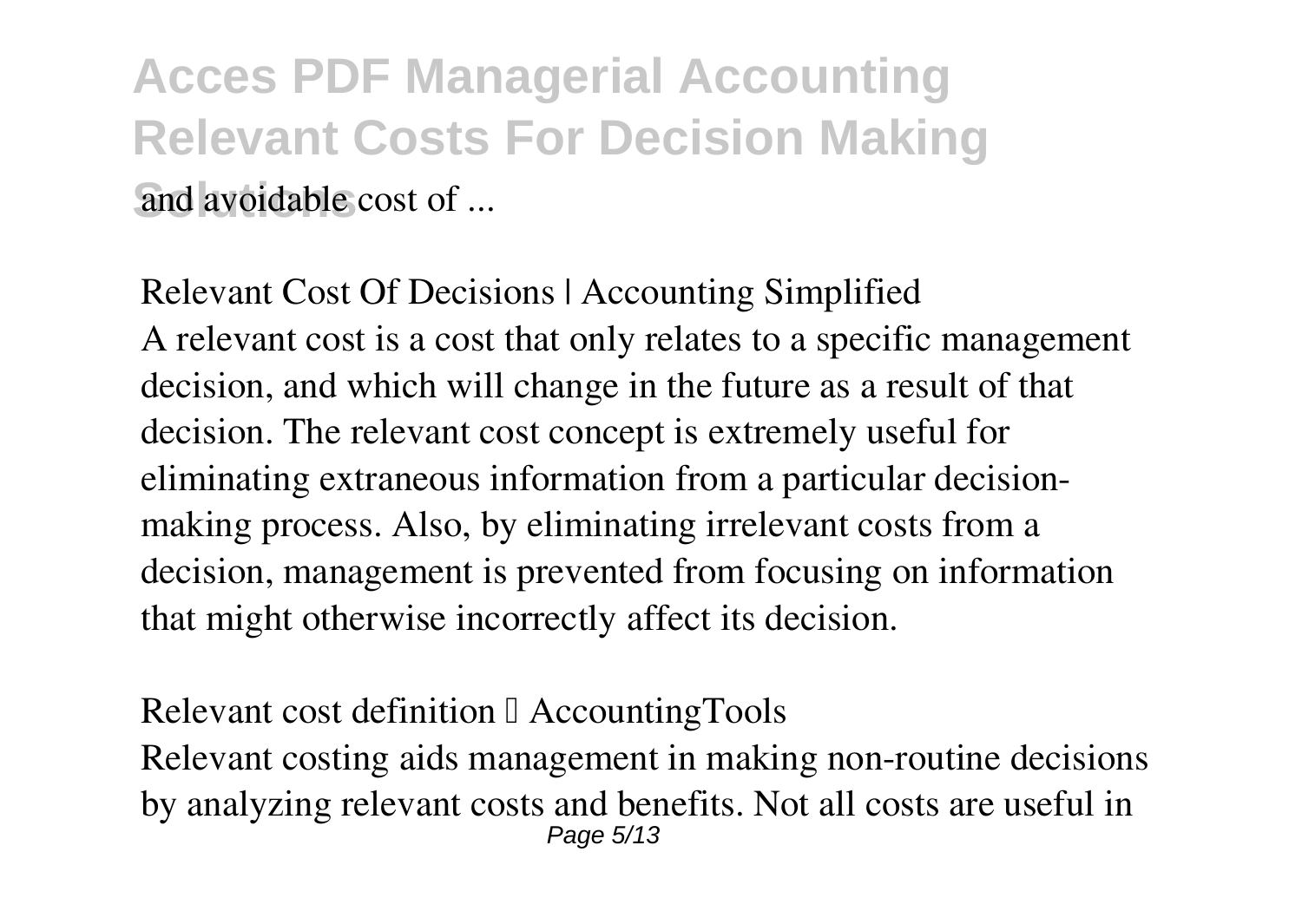**Acces PDF Managerial Accounting Relevant Costs For Decision Making Solution** avoidable cost of

**Relevant Cost Of Decisions | Accounting Simplified** A relevant cost is a cost that only relates to a specific management decision, and which will change in the future as a result of that decision. The relevant cost concept is extremely useful for eliminating extraneous information from a particular decisionmaking process. Also, by eliminating irrelevant costs from a decision, management is prevented from focusing on information that might otherwise incorrectly affect its decision.

Relevant cost definition <sup>[]</sup> AccountingTools Relevant costing aids management in making non-routine decisions

by analyzing relevant costs and benefits. Not all costs are useful in Page 5/13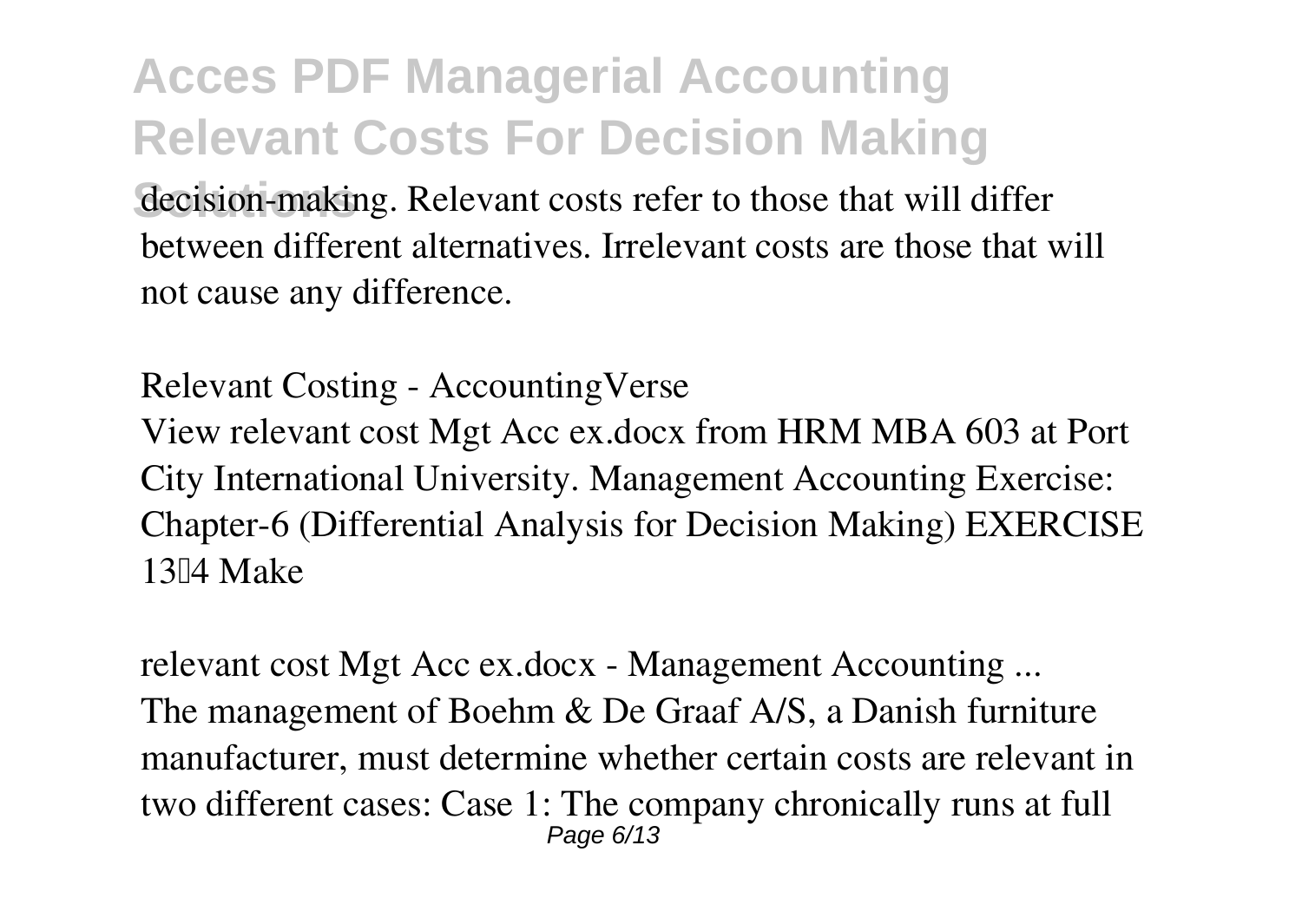decision-making. Relevant costs refer to those that will differ between different alternatives. Irrelevant costs are those that will not cause any difference.

**Relevant Costing - AccountingVerse** View relevant cost Mgt Acc ex.docx from HRM MBA 603 at Port City International University. Management Accounting Exercise: Chapter-6 (Differential Analysis for Decision Making) EXERCISE 13<sup>[14]</sup> Make

**relevant cost Mgt Acc ex.docx - Management Accounting ...** The management of Boehm & De Graaf A/S, a Danish furniture manufacturer, must determine whether certain costs are relevant in two different cases: Case 1: The company chronically runs at full Page 6/13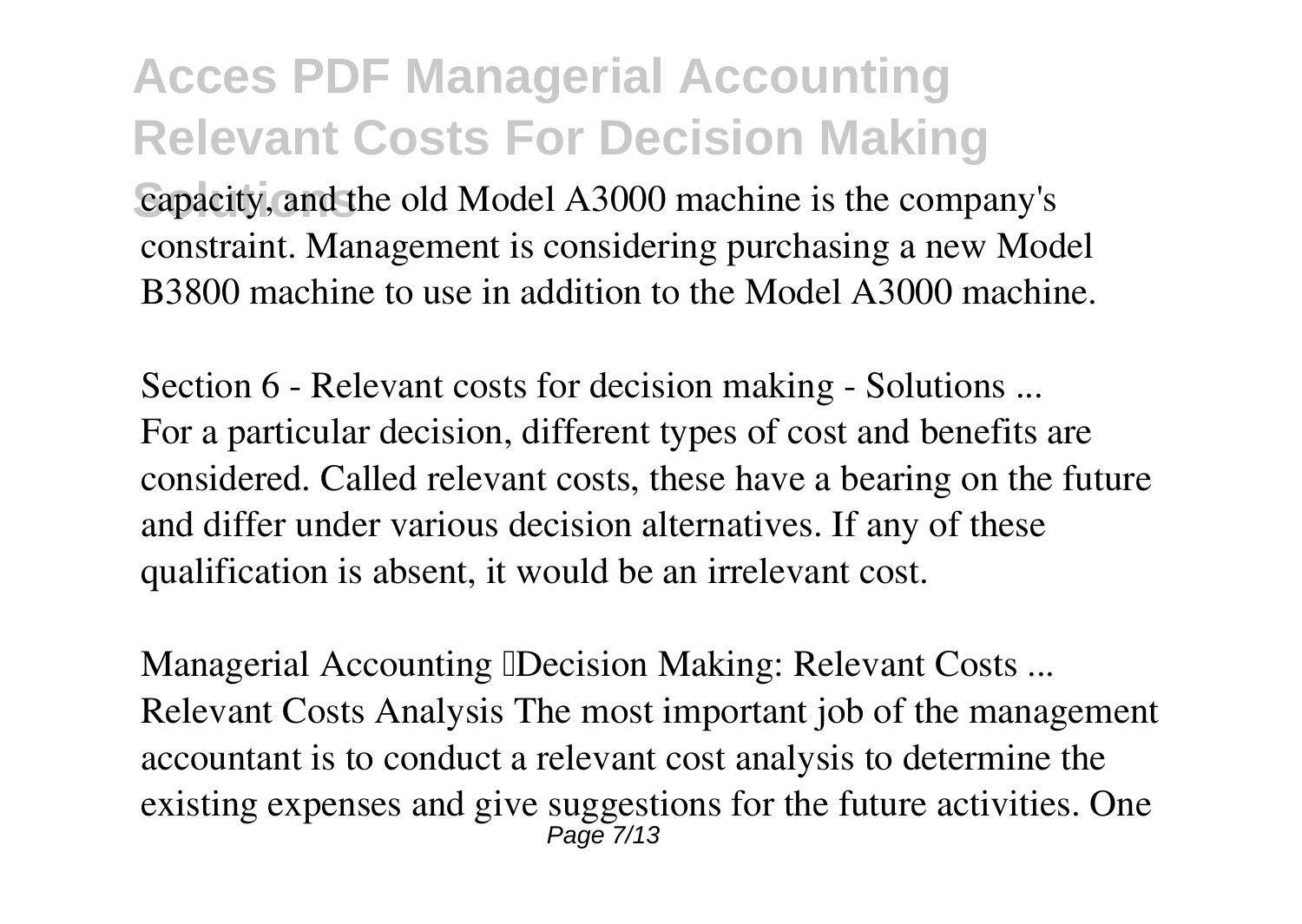capacity, and the old Model A3000 machine is the company's constraint. Management is considering purchasing a new Model B3800 machine to use in addition to the Model A3000 machine.

**Section 6 - Relevant costs for decision making - Solutions ...** For a particular decision, different types of cost and benefits are considered. Called relevant costs, these have a bearing on the future and differ under various decision alternatives. If any of these qualification is absent, it would be an irrelevant cost.

**Managerial Accounting Decision Making: Relevant Costs...** Relevant Costs Analysis The most important job of the management accountant is to conduct a relevant cost analysis to determine the existing expenses and give suggestions for the future activities. One Page 7/13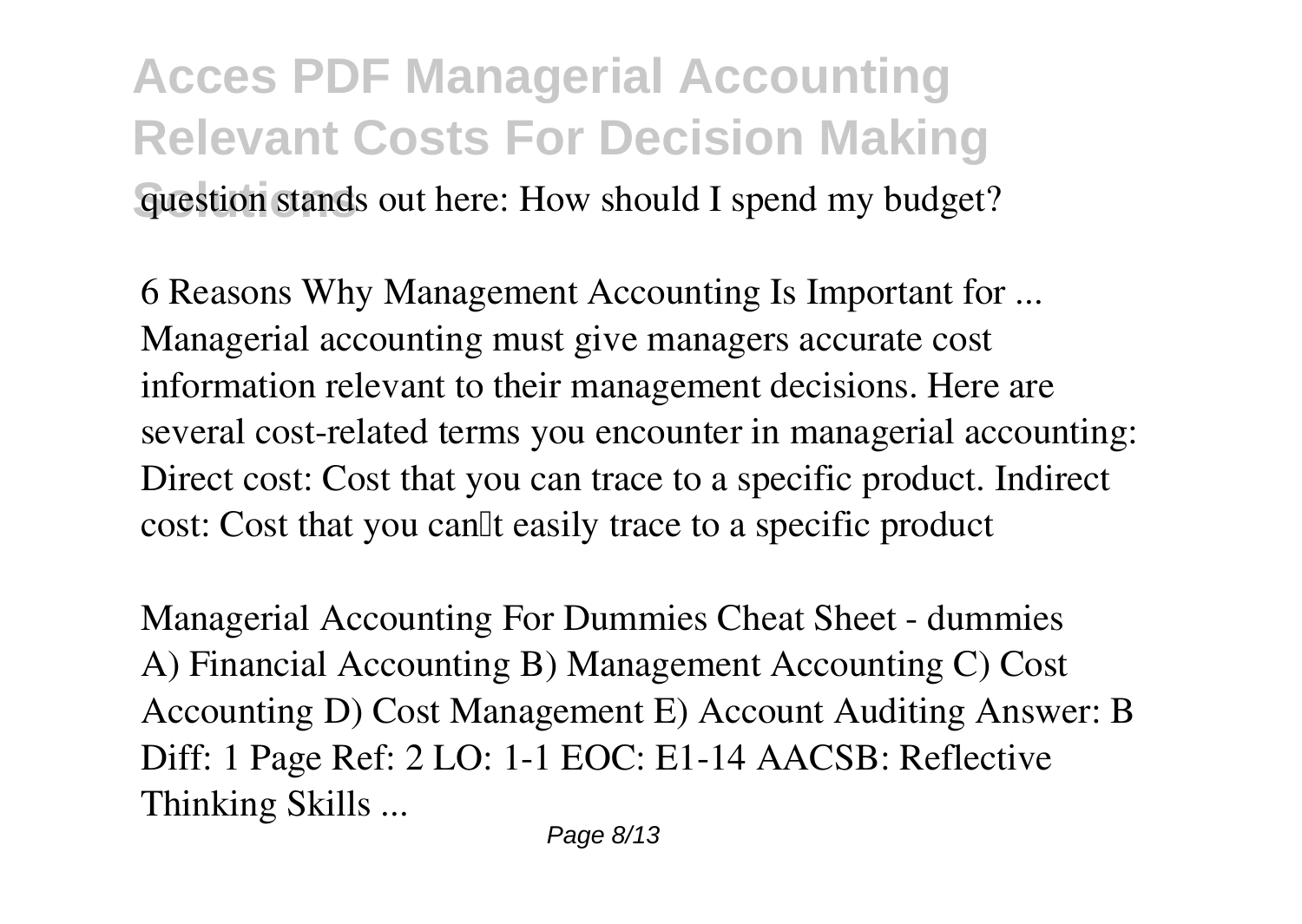#### **Acces PDF Managerial Accounting Relevant Costs For Decision Making Guestion stands out here: How should I spend my budget?**

**6 Reasons Why Management Accounting Is Important for ...** Managerial accounting must give managers accurate cost information relevant to their management decisions. Here are several cost-related terms you encounter in managerial accounting: Direct cost: Cost that you can trace to a specific product. Indirect cost: Cost that you can<sup>'''</sup> casily trace to a specific product

**Managerial Accounting For Dummies Cheat Sheet - dummies** A) Financial Accounting B) Management Accounting C) Cost Accounting D) Cost Management E) Account Auditing Answer: B Diff: 1 Page Ref: 2 LO: 1-1 EOC: E1-14 AACSB: Reflective Thinking Skills ...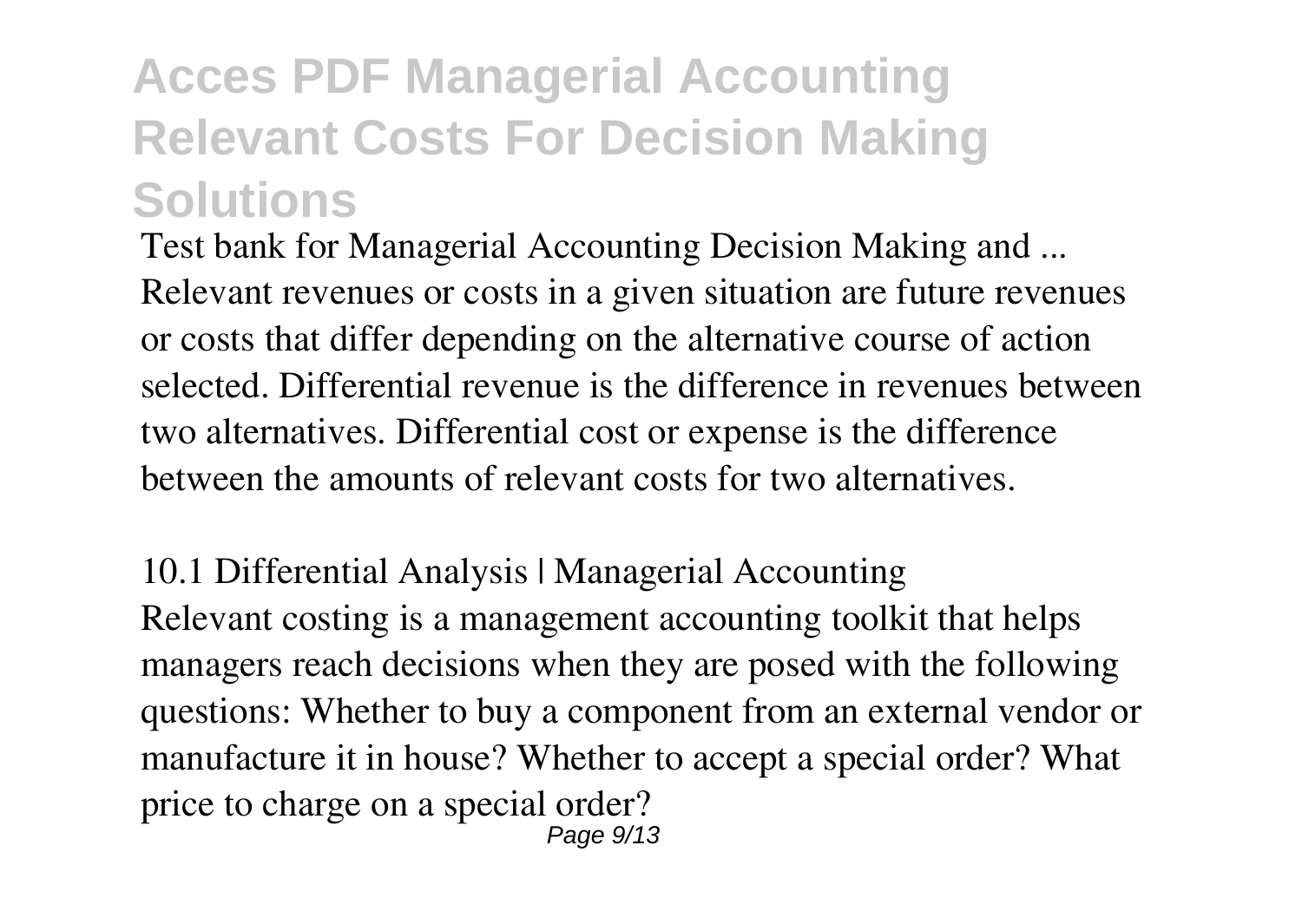**Test bank for Managerial Accounting Decision Making and ...** Relevant revenues or costs in a given situation are future revenues or costs that differ depending on the alternative course of action selected. Differential revenue is the difference in revenues between two alternatives. Differential cost or expense is the difference between the amounts of relevant costs for two alternatives.

**10.1 Differential Analysis | Managerial Accounting** Relevant costing is a management accounting toolkit that helps managers reach decisions when they are posed with the following questions: Whether to buy a component from an external vendor or manufacture it in house? Whether to accept a special order? What price to charge on a special order? Page 9/13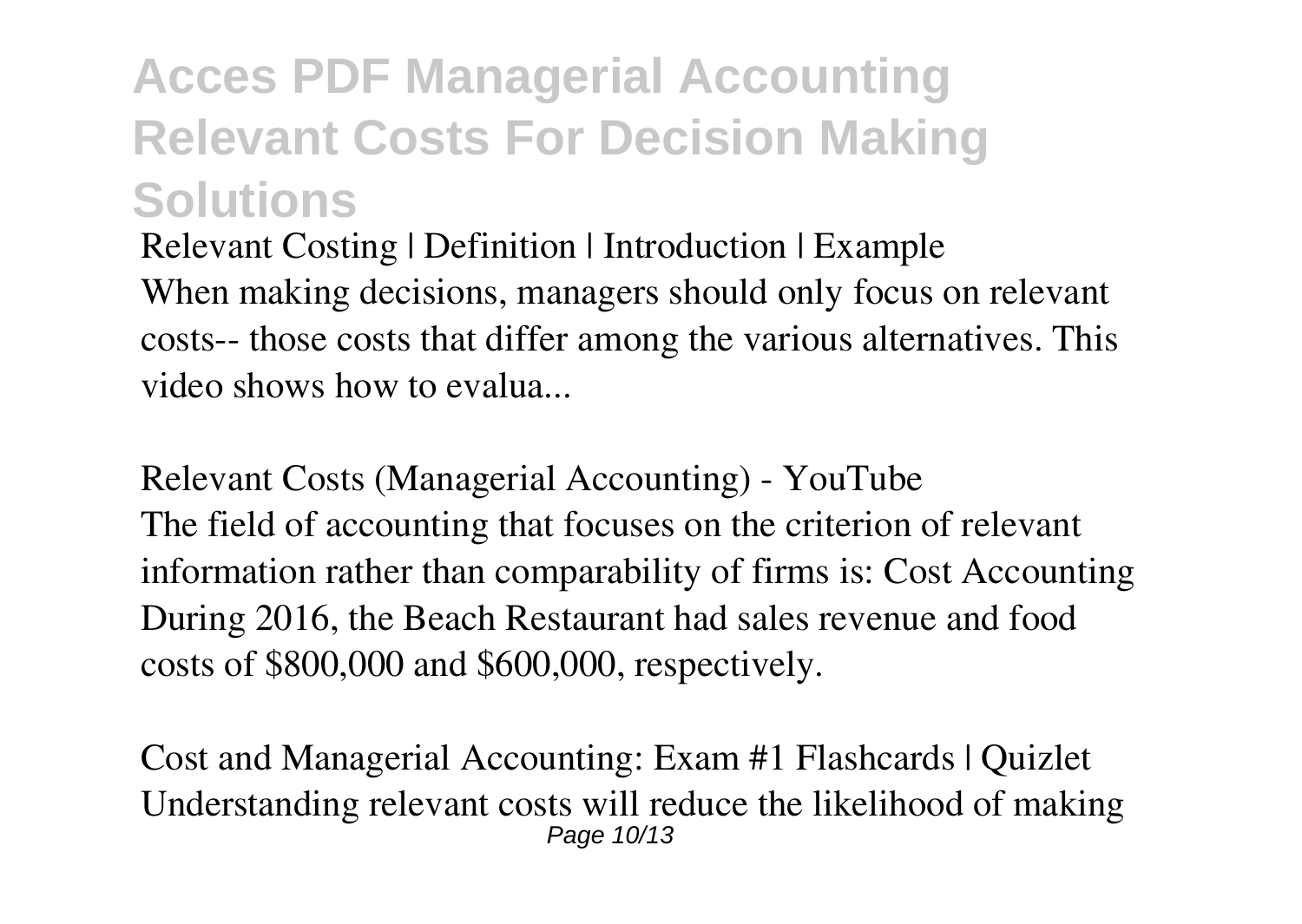**Relevant Costing | Definition | Introduction | Example** When making decisions, managers should only focus on relevant costs-- those costs that differ among the various alternatives. This video shows how to evalua...

**Relevant Costs (Managerial Accounting) - YouTube** The field of accounting that focuses on the criterion of relevant information rather than comparability of firms is: Cost Accounting During 2016, the Beach Restaurant had sales revenue and food costs of \$800,000 and \$600,000, respectively.

**Cost and Managerial Accounting: Exam #1 Flashcards | Quizlet** Understanding relevant costs will reduce the likelihood of making Page 10/13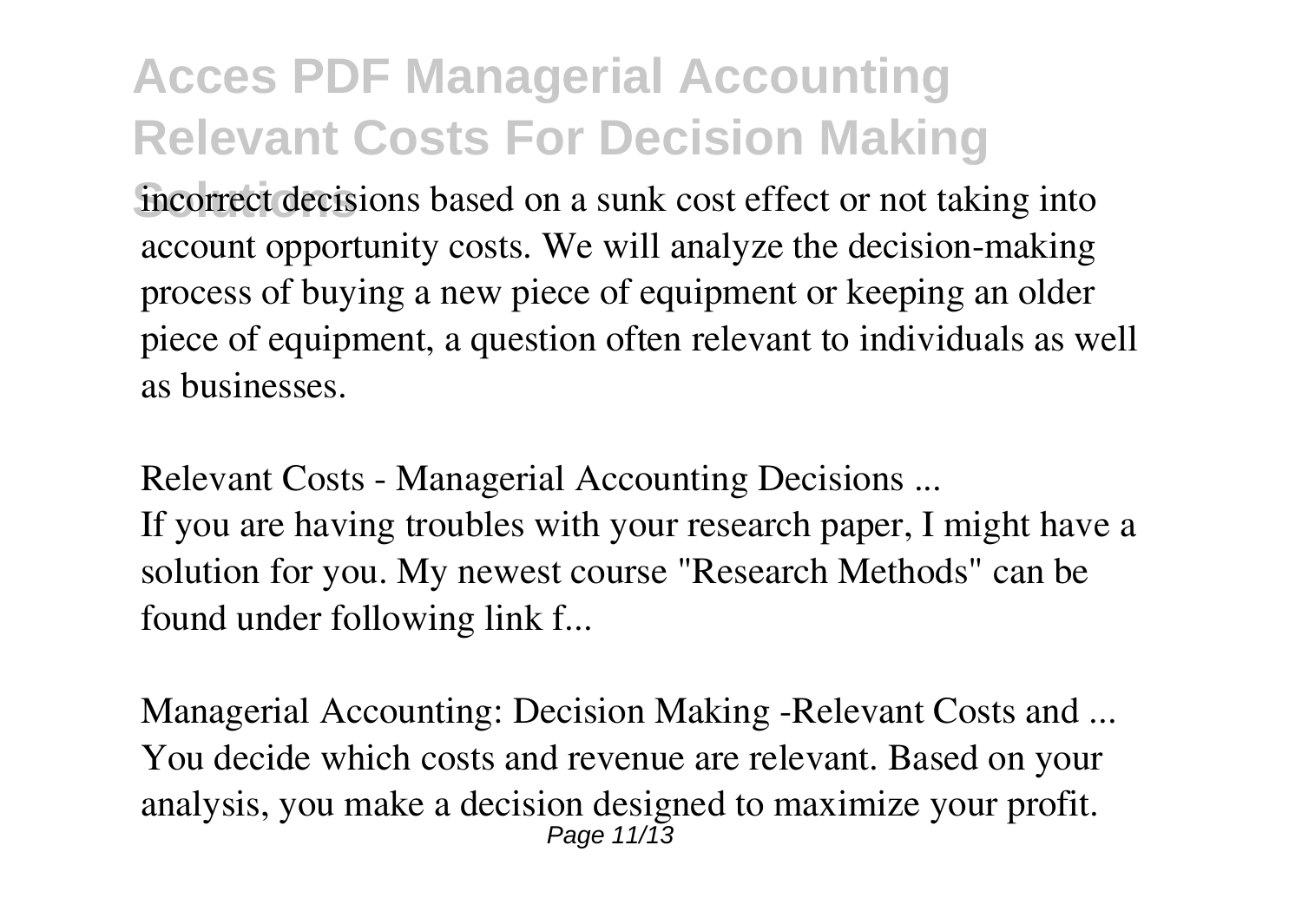**Solutions** incorrect decisions based on a sunk cost effect or not taking into account opportunity costs. We will analyze the decision-making process of buying a new piece of equipment or keeping an older piece of equipment, a question often relevant to individuals as well as businesses.

**Relevant Costs - Managerial Accounting Decisions ...** If you are having troubles with your research paper, I might have a solution for you. My newest course "Research Methods" can be found under following link f...

**Managerial Accounting: Decision Making -Relevant Costs and ...** You decide which costs and revenue are relevant. Based on your analysis, you make a decision designed to maximize your profit. Page 11/13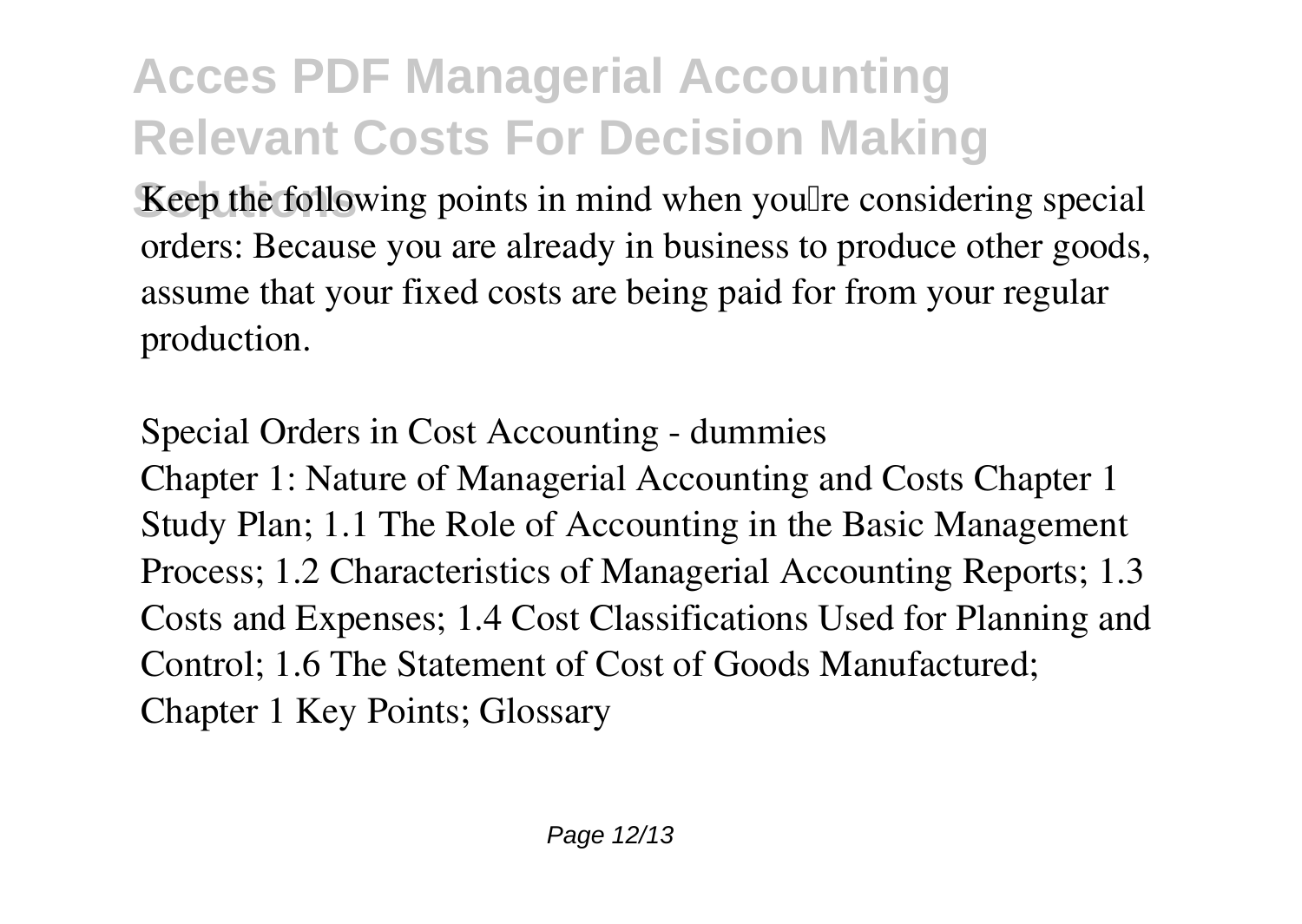**Keep the following points in mind when you're considering special** orders: Because you are already in business to produce other goods, assume that your fixed costs are being paid for from your regular production.

**Special Orders in Cost Accounting - dummies** Chapter 1: Nature of Managerial Accounting and Costs Chapter 1 Study Plan; 1.1 The Role of Accounting in the Basic Management Process; 1.2 Characteristics of Managerial Accounting Reports; 1.3 Costs and Expenses; 1.4 Cost Classifications Used for Planning and Control; 1.6 The Statement of Cost of Goods Manufactured; Chapter 1 Key Points; Glossary